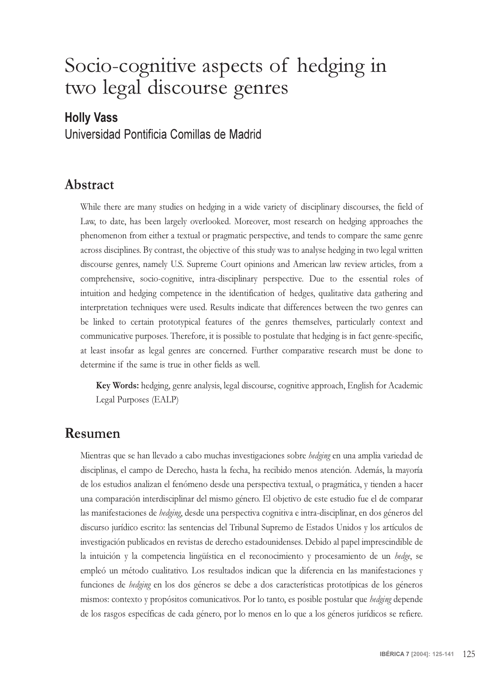# Socio-cognitive aspects of hedging in two legal discourse genres

### Holly Vass

Universidad Pontificia Comillas de Madrid

#### **Abstract**

While there are many studies on hedging in a wide variety of disciplinary discourses, the field of Law, to date, has been largely overlooked. Moreover, most research on hedging approaches the phenomenon from either a textual or pragmatic perspective, and tends to compare the same genre across disciplines. By contrast, the objective of this study was to analyse hedging in two legal written discourse genres, namely U.S. Supreme Court opinions and American law review articles, from a comprehensive, socio-cognitive, intra-disciplinary perspective. Due to the essential roles of intuition and hedging competence in the identification of hedges, qualitative data gathering and interpretation techniques were used. Results indicate that differences between the two genres can be linked to certain prototypical features of the genres themselves, particularly context and communicative purposes. Therefore, it is possible to postulate that hedging is in fact genre-specific, at least insofar as legal genres are concerned. Further comparative research must be done to determine if the same is true in other fields as well.

**Key Words:** hedging, genre analysis, legal discourse, cognitive approach, English for Academic Legal Purposes (EALP)

#### **Resumen**

Mientras que se han llevado a cabo muchas investigaciones sobre *hedging* en una amplia variedad de disciplinas, el campo de Derecho, hasta la fecha, ha recibido menos atención. Además, la mayoría de los estudios analizan el fenómeno desde una perspectiva textual, o pragmática, y tienden a hacer una comparación interdisciplinar del mismo género. El objetivo de este estudio fue el de comparar las manifestaciones de *hedging*, desde una perspectiva cognitiva e intra-disciplinar, en dos géneros del discurso jurídico escrito: las sentencias del Tribunal Supremo de Estados Unidos y los artículos de investigación publicados en revistas de derecho estadounidenses. Debido al papel imprescindible de la intuición y la competencia lingüística en el reconocimiento y procesamiento de un *hedge*, se empleó un método cualitativo. Los resultados indican que la diferencia en las manifestaciones y funciones de *hedging* en los dos géneros se debe a dos características prototípicas de los géneros mismos: contexto y propósitos comunicativos. Por lo tanto, es posible postular que *hedging* depende de los rasgos específicas de cada género, por lo menos en lo que a los géneros jurídicos se refiere.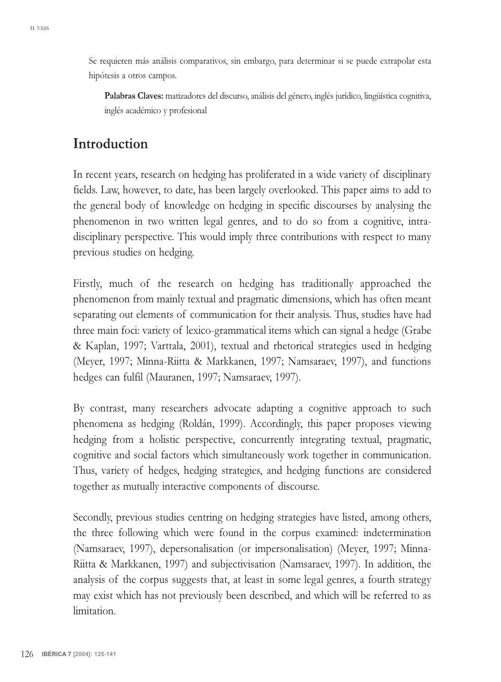Se requieren más análisis comparativos, sin embargo, para determinar si se puede extrapolar esta hipótesis a otros campos.

**Palabras Claves:** matizadores del discurso, análisis del género, inglés jurídico, lingüística cognitiva, inglés académico y profesional

## **Introduction**

In recent years, research on hedging has proliferated in a wide variety of disciplinary fields. Law, however, to date, has been largely overlooked. This paper aims to add to the general body of knowledge on hedging in specific discourses by analysing the phenomenon in two written legal genres, and to do so from a cognitive, intradisciplinary perspective. This would imply three contributions with respect to many previous studies on hedging.

Firstly, much of the research on hedging has traditionally approached the phenomenon from mainly textual and pragmatic dimensions, which has often meant separating out elements of communication for their analysis. Thus, studies have had three main foci: variety of lexico-grammatical items which can signal a hedge (Grabe & Kaplan, 1997; Varttala, 2001), textual and rhetorical strategies used in hedging (Meyer, 1997; Minna-Riitta & Markkanen, 1997; Namsaraev, 1997), and functions hedges can fulfil (Mauranen, 1997; Namsaraev, 1997).

By contrast, many researchers advocate adapting a cognitive approach to such phenomena as hedging (Roldán, 1999). Accordingly, this paper proposes viewing hedging from a holistic perspective, concurrently integrating textual, pragmatic, cognitive and social factors which simultaneously work together in communication. Thus, variety of hedges, hedging strategies, and hedging functions are considered together as mutually interactive components of discourse.

Secondly, previous studies centring on hedging strategies have listed, among others, the three following which were found in the corpus examined: indetermination (Namsaraev, 1997), depersonalisation (or impersonalisation) (Meyer, 1997; Minna-Riitta & Markkanen, 1997) and subjectivisation (Namsaraev, 1997). In addition, the analysis of the corpus suggests that, at least in some legal genres, a fourth strategy may exist which has not previously been described, and which will be referred to as limitation.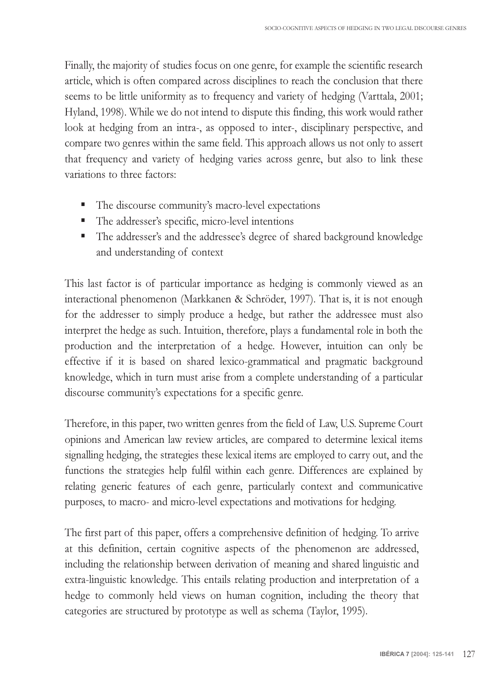Finally, the majority of studies focus on one genre, for example the scientific research article, which is often compared across disciplines to reach the conclusion that there seems to be little uniformity as to frequency and variety of hedging (Varttala, 2001; Hyland, 1998). While we do not intend to dispute this finding, this work would rather look at hedging from an intra-, as opposed to inter-, disciplinary perspective, and compare two genres within the same field. This approach allows us not only to assert that frequency and variety of hedging varies across genre, but also to link these variations to three factors:

- The discourse community's macro-level expectations
- The addresser's specific, micro-level intentions
- The addresser's and the addressee's degree of shared background knowledge and understanding of context

This last factor is of particular importance as hedging is commonly viewed as an interactional phenomenon (Markkanen & Schröder, 1997). That is, it is not enough for the addresser to simply produce a hedge, but rather the addressee must also interpret the hedge as such. Intuition, therefore, plays a fundamental role in both the production and the interpretation of a hedge. However, intuition can only be effective if it is based on shared lexico-grammatical and pragmatic background knowledge, which in turn must arise from a complete understanding of a particular discourse community's expectations for a specific genre.

Therefore, in this paper, two written genres from the field of Law, U.S. Supreme Court opinions and American law review articles, are compared to determine lexical items signalling hedging, the strategies these lexical items are employed to carry out, and the functions the strategies help fulfil within each genre. Differences are explained by relating generic features of each genre, particularly context and communicative purposes, to macro- and micro-level expectations and motivations for hedging.

The first part of this paper, offers a comprehensive definition of hedging. To arrive at this definition, certain cognitive aspects of the phenomenon are addressed, including the relationship between derivation of meaning and shared linguistic and extra-linguistic knowledge. This entails relating production and interpretation of a hedge to commonly held views on human cognition, including the theory that categories are structured by prototype as well as schema (Taylor, 1995).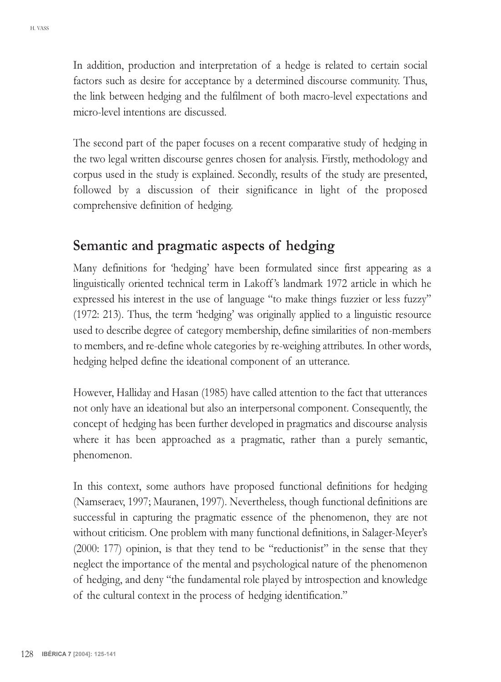In addition, production and interpretation of a hedge is related to certain social factors such as desire for acceptance by a determined discourse community. Thus, the link between hedging and the fulfilment of both macro-level expectations and micro-level intentions are discussed.

The second part of the paper focuses on a recent comparative study of hedging in the two legal written discourse genres chosen for analysis. Firstly, methodology and corpus used in the study is explained. Secondly, results of the study are presented, followed by a discussion of their significance in light of the proposed comprehensive definition of hedging.

### **Semantic and pragmatic aspects of hedging**

Many definitions for 'hedging' have been formulated since first appearing as a linguistically oriented technical term in Lakoff's landmark 1972 article in which he expressed his interest in the use of language "to make things fuzzier or less fuzzy" (1972: 213). Thus, the term 'hedging' was originally applied to a linguistic resource used to describe degree of category membership, define similarities of non-members to members, and re-define whole categories by re-weighing attributes. In other words, hedging helped define the ideational component of an utterance.

However, Halliday and Hasan (1985) have called attention to the fact that utterances not only have an ideational but also an interpersonal component. Consequently, the concept of hedging has been further developed in pragmatics and discourse analysis where it has been approached as a pragmatic, rather than a purely semantic, phenomenon.

In this context, some authors have proposed functional definitions for hedging (Namseraev, 1997; Mauranen, 1997). Nevertheless, though functional definitions are successful in capturing the pragmatic essence of the phenomenon, they are not without criticism. One problem with many functional definitions, in Salager-Meyer's  $(2000: 177)$  opinion, is that they tend to be "reductionist" in the sense that they neglect the importance of the mental and psychological nature of the phenomenon of hedging, and deny "the fundamental role played by introspection and knowledge of the cultural context in the process of hedging identification.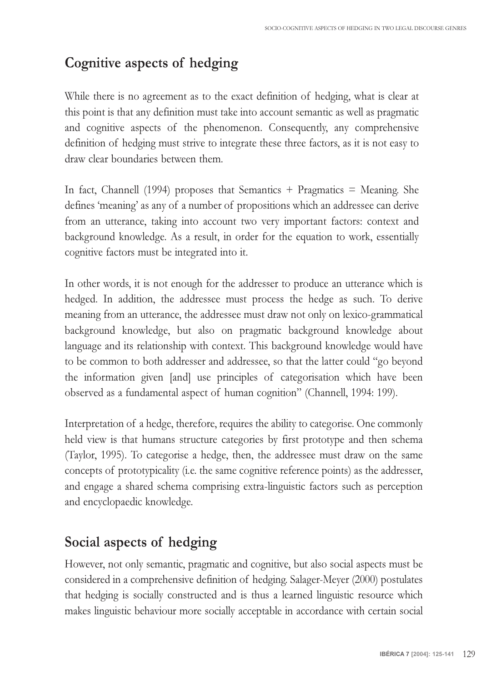## **Cognitive aspects of hedging**

While there is no agreement as to the exact definition of hedging, what is clear at this point is that any definition must take into account semantic as well as pragmatic and cognitive aspects of the phenomenon. Consequently, any comprehensive definition of hedging must strive to integrate these three factors, as it is not easy to draw clear boundaries between them.

In fact, Channell (1994) proposes that Semantics + Pragmatics = Meaning. She defines 'meaning' as any of a number of propositions which an addressee can derive from an utterance, taking into account two very important factors: context and background knowledge. As a result, in order for the equation to work, essentially cognitive factors must be integrated into it.

In other words, it is not enough for the addresser to produce an utterance which is hedged. In addition, the addressee must process the hedge as such. To derive meaning from an utterance, the addressee must draw not only on lexico-grammatical background knowledge, but also on pragmatic background knowledge about language and its relationship with context. This background knowledge would have to be common to both addresser and addressee, so that the latter could "go beyond the information given [and] use principles of categorisation which have been observed as a fundamental aspect of human cognition" (Channell, 1994: 199).

Interpretation of a hedge, therefore, requires the ability to categorise. One commonly held view is that humans structure categories by first prototype and then schema (Taylor, 1995). To categorise a hedge, then, the addressee must draw on the same concepts of prototypicality (i.e. the same cognitive reference points) as the addresser, and engage a shared schema comprising extra-linguistic factors such as perception and encyclopaedic knowledge.

## **Social aspects of hedging**

However, not only semantic, pragmatic and cognitive, but also social aspects must be considered in a comprehensive definition of hedging. Salager-Meyer (2000) postulates that hedging is socially constructed and is thus a learned linguistic resource which makes linguistic behaviour more socially acceptable in accordance with certain social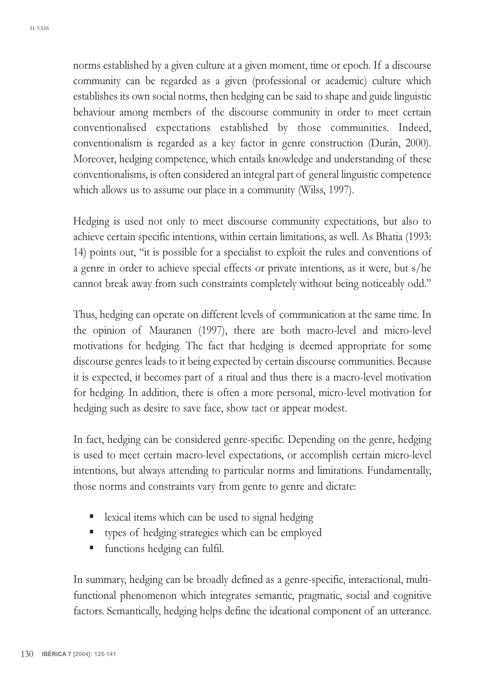norms established by a given culture at a given moment, time or epoch. If a discourse community can be regarded as a given (professional or academic) culture which establishes its own social norms, then hedging can be said to shape and guide linguistic behaviour among members of the discourse community in order to meet certain conventionalised expectations established by those communities. Indeed, conventionalism is regarded as a key factor in genre construction (Durán, 2000). Moreover, hedging competence, which entails knowledge and understanding of these conventionalisms, is often considered an integral part of general linguistic competence which allows us to assume our place in a community (Wilss, 1997).

Hedging is used not only to meet discourse community expectations, but also to achieve certain specific intentions, within certain limitations, as well. As Bhatia (1993: 14) points out, "it is possible for a specialist to exploit the rules and conventions of a genre in order to achieve special effects or private intentions, as it were, but s/he cannot break away from such constraints completely without being noticeably odd.

Thus, hedging can operate on different levels of communication at the same time. In the opinion of Mauranen (1997), there are both macro-level and micro-level motivations for hedging. The fact that hedging is deemed appropriate for some discourse genres leads to it being expected by certain discourse communities. Because it is expected, it becomes part of a ritual and thus there is a macro-level motivation for hedging. In addition, there is often a more personal, micro-level motivation for hedging such as desire to save face, show tact or appear modest.

In fact, hedging can be considered genre-specific. Depending on the genre, hedging is used to meet certain macro-level expectations, or accomplish certain micro-level intentions, but always attending to particular norms and limitations. Fundamentally, those norms and constraints vary from genre to genre and dictate:

- lexical items which can be used to signal hedging
- types of hedging strategies which can be employed
- functions hedging can fulfil.

In summary, hedging can be broadly defined as a genre-specific, interactional, multifunctional phenomenon which integrates semantic, pragmatic, social and cognitive factors. Semantically, hedging helps define the ideational component of an utterance.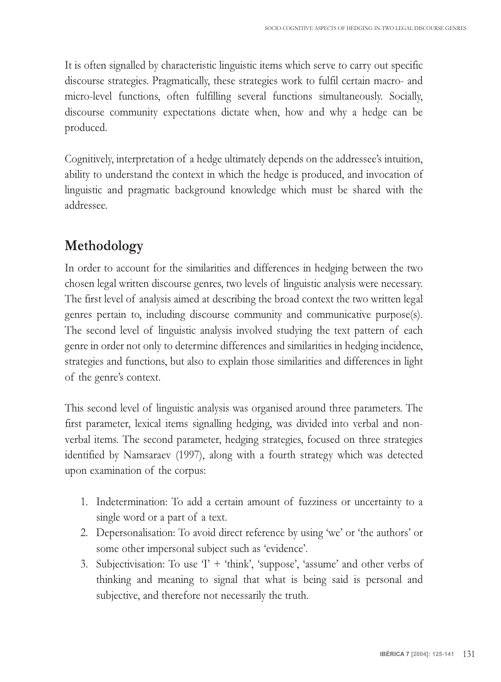It is often signalled by characteristic linguistic items which serve to carry out specific discourse strategies. Pragmatically, these strategies work to fulfil certain macro- and micro-level functions, often fulfilling several functions simultaneously. Socially, discourse community expectations dictate when, how and why a hedge can be produced.

Cognitively, interpretation of a hedge ultimately depends on the addressee's intuition, ability to understand the context in which the hedge is produced, and invocation of linguistic and pragmatic background knowledge which must be shared with the addressee.

## **Methodology**

In order to account for the similarities and differences in hedging between the two chosen legal written discourse genres, two levels of linguistic analysis were necessary. The first level of analysis aimed at describing the broad context the two written legal genres pertain to, including discourse community and communicative purpose(s). The second level of linguistic analysis involved studying the text pattern of each genre in order not only to determine differences and similarities in hedging incidence, strategies and functions, but also to explain those similarities and differences in light of the genre's context.

This second level of linguistic analysis was organised around three parameters. The first parameter, lexical items signalling hedging, was divided into verbal and nonverbal items. The second parameter, hedging strategies, focused on three strategies identified by Namsaraev (1997), along with a fourth strategy which was detected upon examination of the corpus:

- 1. Indetermination: To add a certain amount of fuzziness or uncertainty to a single word or a part of a text.
- 2. Depersonalisation: To avoid direct reference by using 'we' or 'the authors' or some other impersonal subject such as 'evidence'.
- 3. Subjectivisation: To use  $T + 'think'$ , 'suppose', 'assume' and other verbs of thinking and meaning to signal that what is being said is personal and subjective, and therefore not necessarily the truth.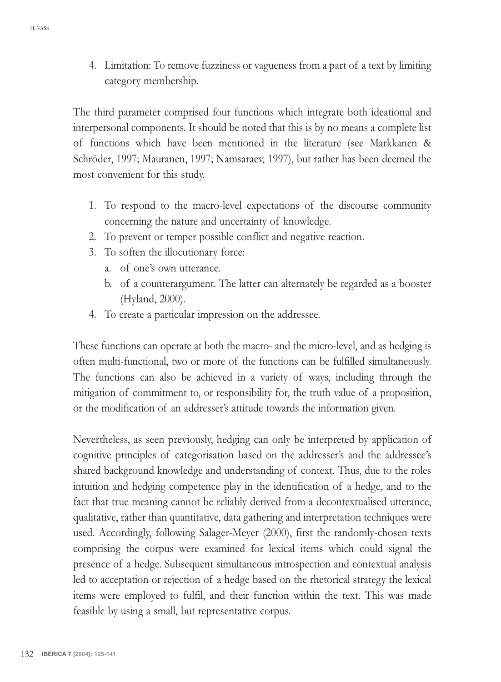4. Limitation: To remove fuzziness or vagueness from a part of a text by limiting category membership.

The third parameter comprised four functions which integrate both ideational and interpersonal components. It should be noted that this is by no means a complete list of functions which have been mentioned in the literature (see Markkanen & Schröder, 1997; Mauranen, 1997; Namsaraev, 1997), but rather has been deemed the most convenient for this study.

- 1. To respond to the macro-level expectations of the discourse community concerning the nature and uncertainty of knowledge.
- 2. To prevent or temper possible conflict and negative reaction.
- 3. To soften the illocutionary force:
	- a. of one's own utterance.
	- b. of a counterargument. The latter can alternately be regarded as a booster (Hyland, 2000).
- 4. To create a particular impression on the addressee.

These functions can operate at both the macro- and the micro-level, and as hedging is often multi-functional, two or more of the functions can be fulfilled simultaneously. The functions can also be achieved in a variety of ways, including through the mitigation of commitment to, or responsibility for, the truth value of a proposition, or the modification of an addresser's attitude towards the information given.

Nevertheless, as seen previously, hedging can only be interpreted by application of cognitive principles of categorisation based on the addresser's and the addressee's shared background knowledge and understanding of context. Thus, due to the roles intuition and hedging competence play in the identification of a hedge, and to the fact that true meaning cannot be reliably derived from a decontextualised utterance, qualitative, rather than quantitative, data gathering and interpretation techniques were used. Accordingly, following Salager-Meyer (2000), first the randomly-chosen texts comprising the corpus were examined for lexical items which could signal the presence of a hedge. Subsequent simultaneous introspection and contextual analysis led to acceptation or rejection of a hedge based on the rhetorical strategy the lexical items were employed to fulfil, and their function within the text. This was made feasible by using a small, but representative corpus.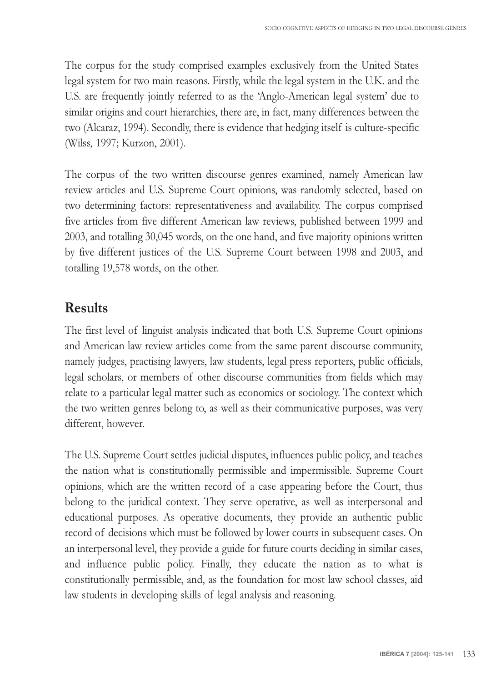The corpus for the study comprised examples exclusively from the United States legal system for two main reasons. Firstly, while the legal system in the U.K. and the U.S. are frequently jointly referred to as the 'Anglo-American legal system' due to similar origins and court hierarchies, there are, in fact, many differences between the two (Alcaraz, 1994). Secondly, there is evidence that hedging itself is culture-specific (Wilss, 1997; Kurzon, 2001).

The corpus of the two written discourse genres examined, namely American law review articles and U.S. Supreme Court opinions, was randomly selected, based on two determining factors: representativeness and availability. The corpus comprised five articles from five different American law reviews, published between 1999 and 2003, and totalling 30,045 words, on the one hand, and five majority opinions written by five different justices of the U.S. Supreme Court between 1998 and 2003, and totalling 19,578 words, on the other.

### **Results**

The first level of linguist analysis indicated that both U.S. Supreme Court opinions and American law review articles come from the same parent discourse community, namely judges, practising lawyers, law students, legal press reporters, public officials, legal scholars, or members of other discourse communities from fields which may relate to a particular legal matter such as economics or sociology. The context which the two written genres belong to, as well as their communicative purposes, was very different, however.

The U.S. Supreme Court settles judicial disputes, influences public policy, and teaches the nation what is constitutionally permissible and impermissible. Supreme Court opinions, which are the written record of a case appearing before the Court, thus belong to the juridical context. They serve operative, as well as interpersonal and educational purposes. As operative documents, they provide an authentic public record of decisions which must be followed by lower courts in subsequent cases. On an interpersonal level, they provide a guide for future courts deciding in similar cases, and influence public policy. Finally, they educate the nation as to what is constitutionally permissible, and, as the foundation for most law school classes, aid law students in developing skills of legal analysis and reasoning.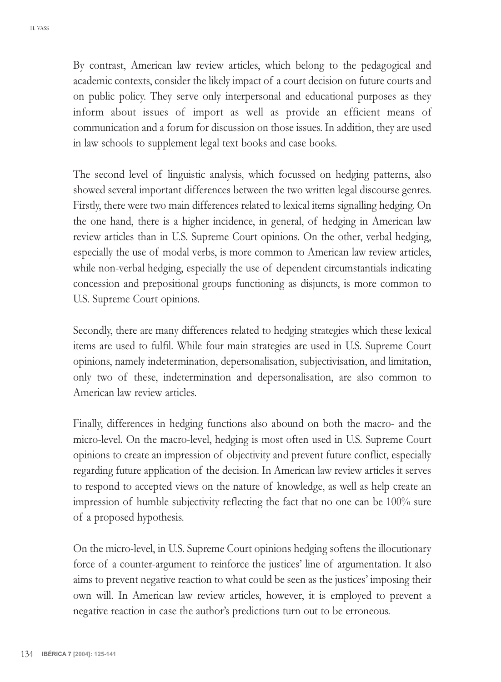By contrast, American law review articles, which belong to the pedagogical and academic contexts, consider the likely impact of a court decision on future courts and on public policy. They serve only interpersonal and educational purposes as they inform about issues of import as well as provide an efficient means of communication and a forum for discussion on those issues. In addition, they are used in law schools to supplement legal text books and case books.

The second level of linguistic analysis, which focussed on hedging patterns, also showed several important differences between the two written legal discourse genres. Firstly, there were two main differences related to lexical items signalling hedging. On the one hand, there is a higher incidence, in general, of hedging in American law review articles than in U.S. Supreme Court opinions. On the other, verbal hedging, especially the use of modal verbs, is more common to American law review articles, while non-verbal hedging, especially the use of dependent circumstantials indicating concession and prepositional groups functioning as disjuncts, is more common to U.S. Supreme Court opinions.

Secondly, there are many differences related to hedging strategies which these lexical items are used to fulfil. While four main strategies are used in U.S. Supreme Court opinions, namely indetermination, depersonalisation, subjectivisation, and limitation, only two of these, indetermination and depersonalisation, are also common to American law review articles.

Finally, differences in hedging functions also abound on both the macro- and the micro-level. On the macro-level, hedging is most often used in U.S. Supreme Court opinions to create an impression of objectivity and prevent future conflict, especially regarding future application of the decision. In American law review articles it serves to respond to accepted views on the nature of knowledge, as well as help create an impression of humble subjectivity reflecting the fact that no one can be 100% sure of a proposed hypothesis.

On the micro-level, in U.S. Supreme Court opinions hedging softens the illocutionary force of a counter-argument to reinforce the justices' line of argumentation. It also aims to prevent negative reaction to what could be seen as the justices imposing their own will. In American law review articles, however, it is employed to prevent a negative reaction in case the author's predictions turn out to be erroneous.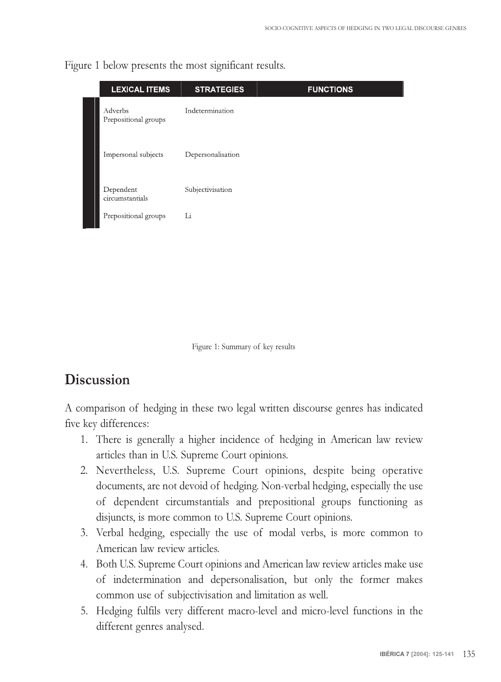Figure 1 below presents the most significant results.

| <b>LEXICAL ITEMS</b>            | <b>STRATEGIES</b> | <b>FUNCTIONS</b> |
|---------------------------------|-------------------|------------------|
| Adverbs<br>Prepositional groups | Indetermination   |                  |
| Impersonal subjects             | Depersonalisation |                  |
| Dependent<br>circumstantials    | Subjectivisation  |                  |
| Prepositional groups            | Li                |                  |

Figure 1: Summary of key results

### **Discussion**

A comparison of hedging in these two legal written discourse genres has indicated five key differences:

- 1. There is generally a higher incidence of hedging in American law review articles than in U.S. Supreme Court opinions.
- 2. Nevertheless, U.S. Supreme Court opinions, despite being operative documents, are not devoid of hedging. Non-verbal hedging, especially the use of dependent circumstantials and prepositional groups functioning as disjuncts, is more common to U.S. Supreme Court opinions.
- 3. Verbal hedging, especially the use of modal verbs, is more common to American law review articles.
- 4. Both U.S. Supreme Court opinions and American law review articles make use of indetermination and depersonalisation, but only the former makes common use of subjectivisation and limitation as well.
- 5. Hedging fulfils very different macro-level and micro-level functions in the different genres analysed.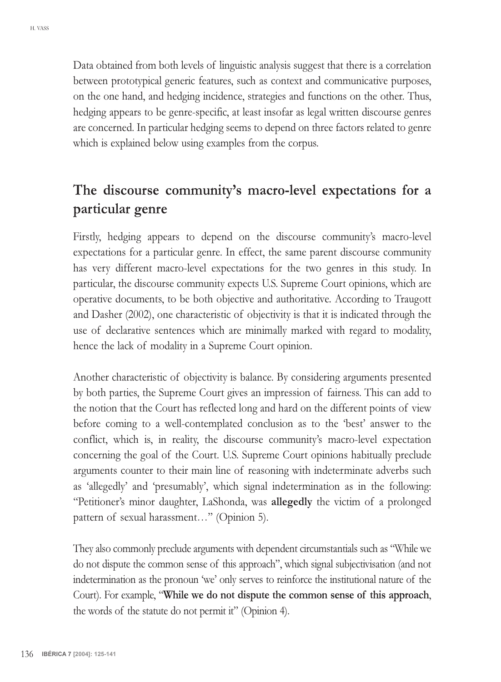Data obtained from both levels of linguistic analysis suggest that there is a correlation between prototypical generic features, such as context and communicative purposes, on the one hand, and hedging incidence, strategies and functions on the other. Thus, hedging appears to be genre-specific, at least insofar as legal written discourse genres are concerned. In particular hedging seems to depend on three factors related to genre which is explained below using examples from the corpus.

## The discourse community's macro-level expectations for a **particular genre**

Firstly, hedging appears to depend on the discourse communitys macro-level expectations for a particular genre. In effect, the same parent discourse community has very different macro-level expectations for the two genres in this study. In particular, the discourse community expects U.S. Supreme Court opinions, which are operative documents, to be both objective and authoritative*.* According to Traugott and Dasher (2002), one characteristic of objectivity is that it is indicated through the use of declarative sentences which are minimally marked with regard to modality, hence the lack of modality in a Supreme Court opinion.

Another characteristic of objectivity is balance. By considering arguments presented by both parties, the Supreme Court gives an impression of fairness. This can add to the notion that the Court has reflected long and hard on the different points of view before coming to a well-contemplated conclusion as to the 'best' answer to the conflict, which is, in reality, the discourse community's macro-level expectation concerning the goal of the Court. U.S. Supreme Court opinions habitually preclude arguments counter to their main line of reasoning with indeterminate adverbs such as 'allegedly' and 'presumably', which signal indetermination as in the following: "Petitioner's minor daughter, LaShonda, was allegedly the victim of a prolonged pattern of sexual harassment..." (Opinion 5).

They also commonly preclude arguments with dependent circumstantials such as While we do not dispute the common sense of this approach", which signal subjectivisation (and not indetermination as the pronoun 'we' only serves to reinforce the institutional nature of the Court). For example, **While we do not dispute the common sense of this approach**, the words of the statute do not permit it" (Opinion 4).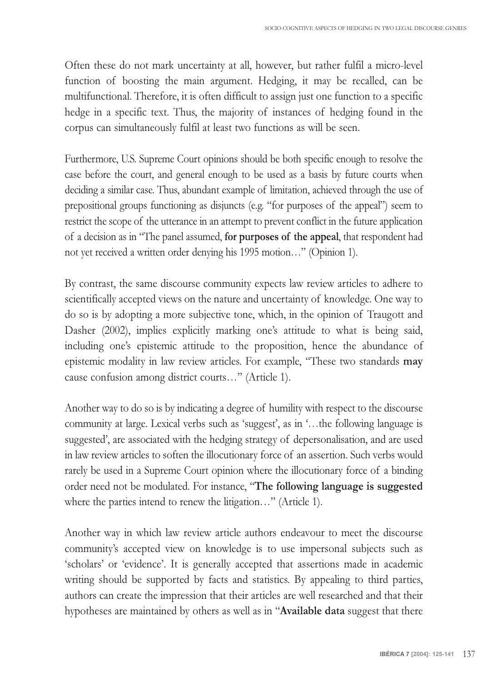Often these do not mark uncertainty at all, however, but rather fulfil a micro-level function of boosting the main argument. Hedging, it may be recalled, can be multifunctional. Therefore, it is often difficult to assign just one function to a specific hedge in a specific text. Thus, the majority of instances of hedging found in the corpus can simultaneously fulfil at least two functions as will be seen.

Furthermore, U.S. Supreme Court opinions should be both specific enough to resolve the case before the court, and general enough to be used as a basis by future courts when deciding a similar case. Thus, abundant example of limitation, achieved through the use of prepositional groups functioning as disjuncts (e.g. "for purposes of the appeal") seem to restrict the scope of the utterance in an attempt to prevent conflict in the future application of a decision as in The panel assumed, **for purposes of the appeal**, that respondent had not yet received a written order denying his 1995 motion..." (Opinion 1).

By contrast, the same discourse community expects law review articles to adhere to scientifically accepted views on the nature and uncertainty of knowledge. One way to do so is by adopting a more subjective tone, which, in the opinion of Traugott and Dasher (2002), implies explicitly marking one's attitude to what is being said, including one's epistemic attitude to the proposition, hence the abundance of epistemic modality in law review articles. For example, "These two standards may cause confusion among district courts..." (Article 1).

Another way to do so is by indicating a degree of humility with respect to the discourse community at large. Lexical verbs such as 'suggest', as in '...the following language is suggested, are associated with the hedging strategy of depersonalisation, and are used in law review articles to soften the illocutionary force of an assertion. Such verbs would rarely be used in a Supreme Court opinion where the illocutionary force of a binding order need not be modulated. For instance, **The following language is suggested** where the parties intend to renew the litigation..." (Article 1).

Another way in which law review article authors endeavour to meet the discourse communitys accepted view on knowledge is to use impersonal subjects such as scholars' or 'evidence'. It is generally accepted that assertions made in academic writing should be supported by facts and statistics. By appealing to third parties, authors can create the impression that their articles are well researched and that their hypotheses are maintained by others as well as in "**Available data** suggest that there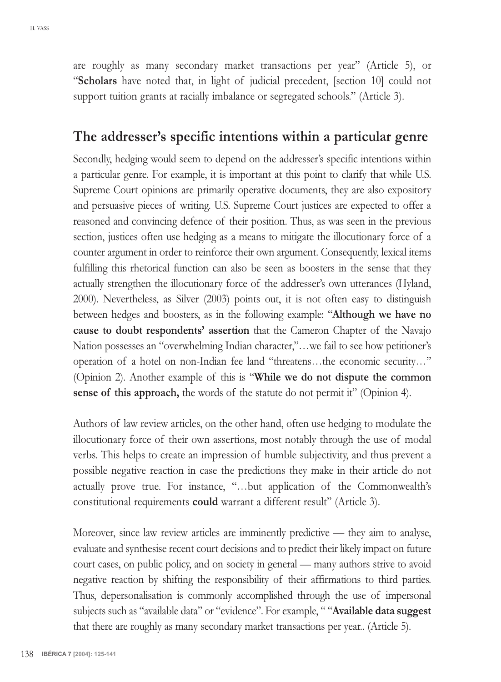are roughly as many secondary market transactions per year" (Article 5), or **Scholars** have noted that, in light of judicial precedent, [section 10] could not support tuition grants at racially imbalance or segregated schools." (Article 3).

### The addresser's specific intentions within a particular genre

Secondly, hedging would seem to depend on the addresser's specific intentions within a particular genre. For example, it is important at this point to clarify that while U.S. Supreme Court opinions are primarily operative documents, they are also expository and persuasive pieces of writing. U.S. Supreme Court justices are expected to offer a reasoned and convincing defence of their position. Thus, as was seen in the previous section, justices often use hedging as a means to mitigate the illocutionary force of a counter argument in order to reinforce their own argument. Consequently, lexical items fulfilling this rhetorical function can also be seen as boosters in the sense that they actually strengthen the illocutionary force of the addresser's own utterances (Hyland, 2000). Nevertheless, as Silver (2003) points out, it is not often easy to distinguish between hedges and boosters, as in the following example: **Although we have no cause to doubt respondents assertion** that the Cameron Chapter of the Navajo Nation possesses an "overwhelming Indian character,"...we fail to see how petitioner's operation of a hotel on non-Indian fee land "threatens...the economic security..." (Opinion 2). Another example of this is **While we do not dispute the common sense of this approach,** the words of the statute do not permit it" (Opinion 4).

Authors of law review articles, on the other hand, often use hedging to modulate the illocutionary force of their own assertions, most notably through the use of modal verbs. This helps to create an impression of humble subjectivity, and thus prevent a possible negative reaction in case the predictions they make in their article do not actually prove true. For instance, "...but application of the Commonwealth's constitutional requirements **could** warrant a different result" (Article 3).

Moreover, since law review articles are imminently predictive — they aim to analyse, evaluate and synthesise recent court decisions and to predict their likely impact on future court cases, on public policy, and on society in general — many authors strive to avoid negative reaction by shifting the responsibility of their affirmations to third parties. Thus, depersonalisation is commonly accomplished through the use of impersonal subjects such as "available data" or "evidence". For example, " "**Available data suggest** that there are roughly as many secondary market transactions per year.. (Article 5).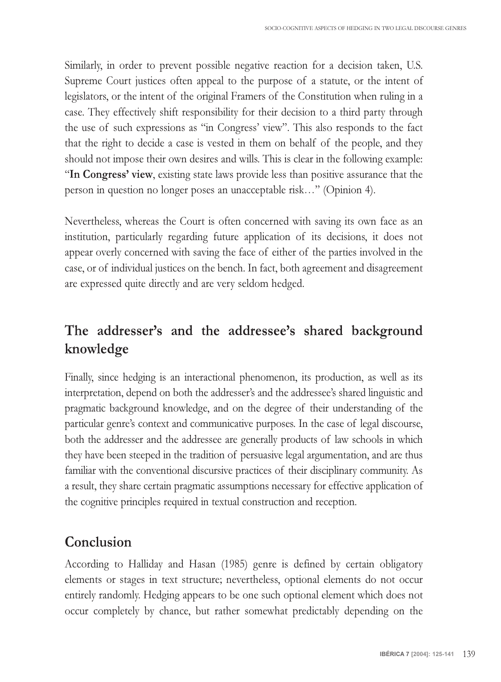Similarly, in order to prevent possible negative reaction for a decision taken, U.S. Supreme Court justices often appeal to the purpose of a statute, or the intent of legislators, or the intent of the original Framers of the Constitution when ruling in a case. They effectively shift responsibility for their decision to a third party through the use of such expressions as "in Congress' view". This also responds to the fact that the right to decide a case is vested in them on behalf of the people, and they should not impose their own desires and wills. This is clear in the following example: **In Congress view**, existing state laws provide less than positive assurance that the person in question no longer poses an unacceptable risk..." (Opinion 4).

Nevertheless, whereas the Court is often concerned with saving its own face as an institution, particularly regarding future application of its decisions, it does not appear overly concerned with saving the face of either of the parties involved in the case, or of individual justices on the bench. In fact, both agreement and disagreement are expressed quite directly and are very seldom hedged.

## The addresser's and the addressee's shared background **knowledge**

Finally, since hedging is an interactional phenomenon, its production, as well as its interpretation, depend on both the addresser's and the addressee's shared linguistic and pragmatic background knowledge, and on the degree of their understanding of the particular genre's context and communicative purposes. In the case of legal discourse, both the addresser and the addressee are generally products of law schools in which they have been steeped in the tradition of persuasive legal argumentation, and are thus familiar with the conventional discursive practices of their disciplinary community. As a result, they share certain pragmatic assumptions necessary for effective application of the cognitive principles required in textual construction and reception.

## **Conclusion**

According to Halliday and Hasan (1985) genre is defined by certain obligatory elements or stages in text structure; nevertheless, optional elements do not occur entirely randomly. Hedging appears to be one such optional element which does not occur completely by chance, but rather somewhat predictably depending on the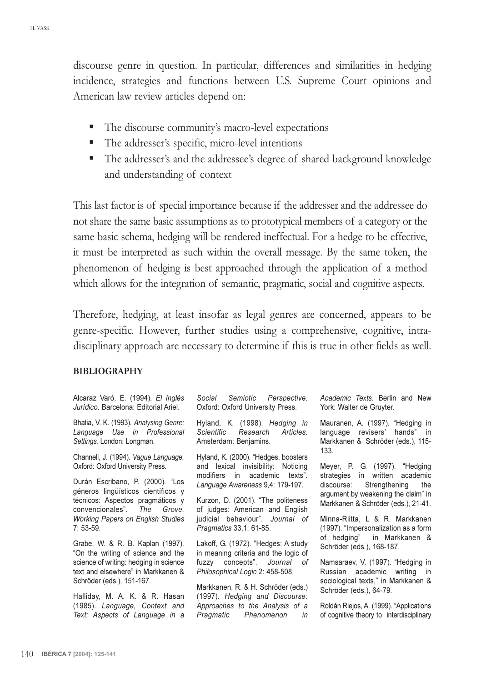discourse genre in question. In particular, differences and similarities in hedging incidence, strategies and functions between U.S. Supreme Court opinions and American law review articles depend on:

- The discourse community's macro-level expectations
- The addresser's specific, micro-level intentions
- The addresser's and the addressee's degree of shared background knowledge and understanding of context

This last factor is of special importance because if the addresser and the addressee do not share the same basic assumptions as to prototypical members of a category or the same basic schema, hedging will be rendered ineffectual. For a hedge to be effective, it must be interpreted as such within the overall message. By the same token, the phenomenon of hedging is best approached through the application of a method which allows for the integration of semantic, pragmatic, social and cognitive aspects.

Therefore, hedging, at least insofar as legal genres are concerned, appears to be genre-specific. However, further studies using a comprehensive, cognitive, intradisciplinary approach are necessary to determine if this is true in other fields as well.

#### **BIBLIOGRAPHY**

| Alcaraz Varó, E. (1994). El Inglés<br>Jurídico, Barcelona: Editorial Ariel.                                                                                                                                           | Social Semiotic Perspective.<br>Oxford: Oxford University Press.                                                                                                                                                         | Academic Texts. Berlin and New<br>York: Walter de Gruyter.                                                                                                                    |
|-----------------------------------------------------------------------------------------------------------------------------------------------------------------------------------------------------------------------|--------------------------------------------------------------------------------------------------------------------------------------------------------------------------------------------------------------------------|-------------------------------------------------------------------------------------------------------------------------------------------------------------------------------|
| Bhatia, V. K. (1993). Analysing Genre:<br>Language Use in Professional<br>Settings. London: Longman.                                                                                                                  | Hyland, K. (1998). Hedging in<br>Scientific Research<br>Articles.<br>Amsterdam: Benjamins.                                                                                                                               | Mauranen, A. (1997). "Hedging in<br>language revisers' hands" in<br>Markkanen & Schröder (eds.), 115-<br>133 <sub>1</sub>                                                     |
| Channell, J. (1994). Vague Language.<br>Oxford: Oxford University Press.<br>Durán Escribano, P. (2000). "Los<br>géneros lingüísticos científicos y<br>técnicos: Aspectos pragmáticos y<br>convencionales". The Grove. | Hyland, K. (2000). "Hedges, boosters<br>and lexical invisibility: Noticing<br>modifiers in academic texts".<br>Language Awareness 9,4: 179-197.<br>Kurzon, D. (2001). "The politeness<br>of judges: American and English | Meyer, P. G. (1997). "Hedging<br>strategies in written academic<br>discourse: Strengthening the<br>argument by weakening the claim" in<br>Markkanen & Schröder (eds.), 21-41. |
| <b>Working Papers on English Studies</b><br>$7:53-59.$<br>Grabe, W. & R. B. Kaplan (1997).<br>"On the writing of science and the                                                                                      | judicial behaviour". Journal of<br>Pragmatics 33,1: 61-85.<br>Lakoff, G. (1972). "Hedges: A study<br>in meaning criteria and the logic of                                                                                | Minna-Riitta, L & R. Markkanen<br>(1997). "Impersonalization as a form<br>of hedging" in Markkanen &<br>Schröder (eds.), 168-187.                                             |
| science of writing: hedging in science<br>text and elsewhere" in Markkanen &<br>Schröder (eds.), 151-167.                                                                                                             | fuzzy concepts". Journal of<br>Philosophical Logic 2: 458-508.<br>Markkanen, R. & H. Schröder (eds.)                                                                                                                     | Namsaraev, V. (1997). "Hedging in<br>Russian academic writing in<br>sociological texts," in Markkanen &<br>Schröder (eds.), 64-79.                                            |
| Halliday, M. A. K. & R. Hasan<br>(1985). Language, Context and<br>Text: Aspects of Language in a                                                                                                                      | (1997). Hedging and Discourse:<br>Approaches to the Analysis of a<br>Pragmatic Phenomenon<br>in                                                                                                                          | Roldán Riejos, A. (1999). "Applications<br>of cognitive theory to interdisciplinary                                                                                           |